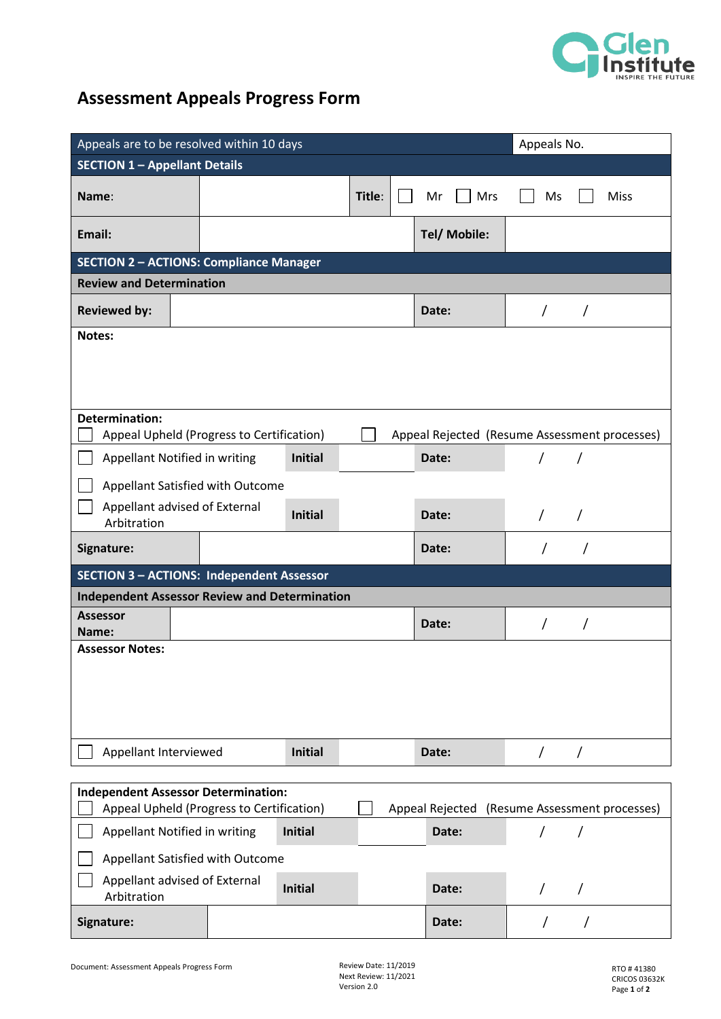

## **Assessment Appeals Progress Form**

| Appeals are to be resolved within 10 days                                                  |  |  |                |        |  |       |              |            | Appeals No. |             |  |  |
|--------------------------------------------------------------------------------------------|--|--|----------------|--------|--|-------|--------------|------------|-------------|-------------|--|--|
| <b>SECTION 1 - Appellant Details</b>                                                       |  |  |                |        |  |       |              |            |             |             |  |  |
| Name:                                                                                      |  |  |                | Title: |  | Mr    | Mrs          | Ms         |             | <b>Miss</b> |  |  |
| Email:                                                                                     |  |  |                |        |  |       | Tel/ Mobile: |            |             |             |  |  |
| <b>SECTION 2 - ACTIONS: Compliance Manager</b>                                             |  |  |                |        |  |       |              |            |             |             |  |  |
| <b>Review and Determination</b>                                                            |  |  |                |        |  |       |              |            |             |             |  |  |
| <b>Reviewed by:</b>                                                                        |  |  |                |        |  | Date: |              | $\sqrt{2}$ |             |             |  |  |
| Notes:                                                                                     |  |  |                |        |  |       |              |            |             |             |  |  |
|                                                                                            |  |  |                |        |  |       |              |            |             |             |  |  |
|                                                                                            |  |  |                |        |  |       |              |            |             |             |  |  |
| <b>Determination:</b>                                                                      |  |  |                |        |  |       |              |            |             |             |  |  |
| Appeal Upheld (Progress to Certification)<br>Appeal Rejected (Resume Assessment processes) |  |  |                |        |  |       |              |            |             |             |  |  |
| Appellant Notified in writing                                                              |  |  | <b>Initial</b> |        |  | Date: |              |            |             |             |  |  |
| Appellant Satisfied with Outcome                                                           |  |  |                |        |  |       |              |            |             |             |  |  |
| Appellant advised of External                                                              |  |  | <b>Initial</b> |        |  | Date: |              | $\prime$   | $\prime$    |             |  |  |
| Arbitration                                                                                |  |  |                |        |  |       |              |            |             |             |  |  |
| Signature:                                                                                 |  |  |                |        |  | Date: |              |            |             |             |  |  |
| <b>SECTION 3 - ACTIONS: Independent Assessor</b>                                           |  |  |                |        |  |       |              |            |             |             |  |  |
| <b>Independent Assessor Review and Determination</b>                                       |  |  |                |        |  |       |              |            |             |             |  |  |
| <b>Assessor</b><br>Name:                                                                   |  |  |                |        |  | Date: |              |            |             |             |  |  |
| <b>Assessor Notes:</b>                                                                     |  |  |                |        |  |       |              |            |             |             |  |  |
|                                                                                            |  |  |                |        |  |       |              |            |             |             |  |  |
|                                                                                            |  |  |                |        |  |       |              |            |             |             |  |  |
|                                                                                            |  |  |                |        |  |       |              |            |             |             |  |  |
|                                                                                            |  |  |                |        |  |       |              |            |             |             |  |  |
| Appellant Interviewed                                                                      |  |  | <b>Initial</b> |        |  | Date: |              | $\prime$   | $\prime$    |             |  |  |
| <b>Independent Assessor Determination:</b>                                                 |  |  |                |        |  |       |              |            |             |             |  |  |
| Appeal Upheld (Progress to Certification)<br>Appeal Rejected (Resume Assessment processes) |  |  |                |        |  |       |              |            |             |             |  |  |
| Appellant Notified in writing<br><b>Initial</b>                                            |  |  |                |        |  | Date: |              |            |             |             |  |  |
| Appellant Satisfied with Outcome                                                           |  |  |                |        |  |       |              |            |             |             |  |  |
| Appellant advised of External<br>Arbitration                                               |  |  | <b>Initial</b> |        |  | Date: |              | $\prime$   | $\prime$    |             |  |  |
| Signature:                                                                                 |  |  |                |        |  | Date: |              | $\sqrt{2}$ | $\prime$    |             |  |  |